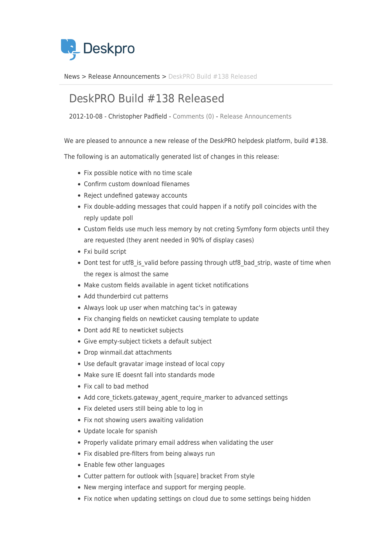

[News](https://support.deskpro.com/sv/news) > [Release Announcements](https://support.deskpro.com/sv/news/release-announcements) > [DeskPRO Build #138 Released](https://support.deskpro.com/sv/news/posts/deskpro-build-138-released)

## DeskPRO Build #138 Released

2012-10-08 - Christopher Padfield - [Comments \(0\)](#page--1-0) - [Release Announcements](https://support.deskpro.com/sv/news/release-announcements)

We are pleased to announce a new release of the DeskPRO helpdesk platform, build #138.

The following is an automatically generated list of changes in this release:

- Fix possible notice with no time scale
- Confirm custom download filenames
- Reject undefined gateway accounts
- Fix double-adding messages that could happen if a notify poll coincides with the reply update poll
- Custom fields use much less memory by not creting Symfony form objects until they are requested (they arent needed in 90% of display cases)
- Fxi build script
- Dont test for utf8 is valid before passing through utf8 bad strip, waste of time when the regex is almost the same
- Make custom fields available in agent ticket notifications
- Add thunderbird cut patterns
- Always look up user when matching tac's in gateway
- Fix changing fields on newticket causing template to update
- Dont add RE to newticket subjects
- Give empty-subject tickets a default subject
- Drop winmail.dat attachments
- Use default gravatar image instead of local copy
- Make sure IE doesnt fall into standards mode
- Fix call to bad method
- Add core\_tickets.gateway\_agent\_require\_marker to advanced settings
- Fix deleted users still being able to log in
- Fix not showing users awaiting validation
- Update locale for spanish
- Properly validate primary email address when validating the user
- Fix disabled pre-filters from being always run
- Enable few other languages
- Cutter pattern for outlook with [square] bracket From style
- New merging interface and support for merging people.
- Fix notice when updating settings on cloud due to some settings being hidden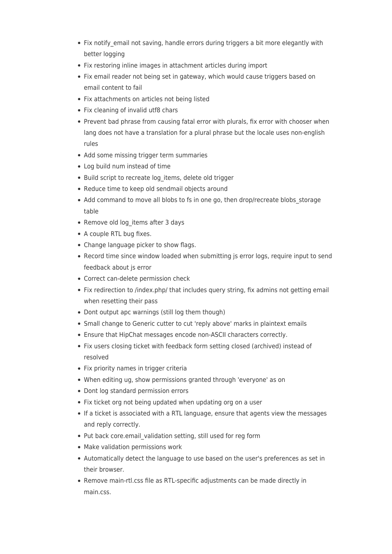- Fix notify email not saving, handle errors during triggers a bit more elegantly with better logging
- Fix restoring inline images in attachment articles during import
- Fix email reader not being set in gateway, which would cause triggers based on email content to fail
- Fix attachments on articles not being listed
- Fix cleaning of invalid utf8 chars
- Prevent bad phrase from causing fatal error with plurals, fix error with chooser when lang does not have a translation for a plural phrase but the locale uses non-english rules
- Add some missing trigger term summaries
- Log build num instead of time
- Build script to recreate log items, delete old trigger
- Reduce time to keep old sendmail objects around
- Add command to move all blobs to fs in one go, then drop/recreate blobs\_storage table
- Remove old log items after 3 days
- A couple RTL bug fixes.
- Change language picker to show flags.
- Record time since window loaded when submitting is error logs, require input to send feedback about js error
- Correct can-delete permission check
- Fix redirection to /index.php/ that includes query string, fix admins not getting email when resetting their pass
- Dont output apc warnings (still log them though)
- Small change to Generic cutter to cut 'reply above' marks in plaintext emails
- Ensure that HipChat messages encode non-ASCII characters correctly.
- Fix users closing ticket with feedback form setting closed (archived) instead of resolved
- Fix priority names in trigger criteria
- When editing ug, show permissions granted through 'everyone' as on
- Dont log standard permission errors
- Fix ticket org not being updated when updating org on a user
- If a ticket is associated with a RTL language, ensure that agents view the messages and reply correctly.
- Put back core.email validation setting, still used for reg form
- Make validation permissions work
- Automatically detect the language to use based on the user's preferences as set in their browser.
- Remove main-rtl.css file as RTL-specific adjustments can be made directly in main.css.